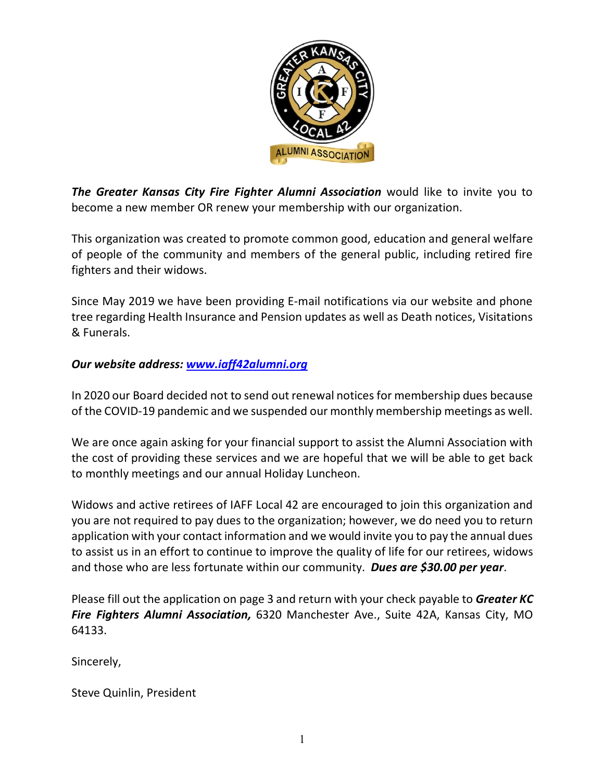

*The Greater Kansas City Fire Fighter Alumni Association* would like to invite you to become a new member OR renew your membership with our organization.

This organization was created to promote common good, education and general welfare of people of the community and members of the general public, including retired fire fighters and their widows.

Since May 2019 we have been providing E-mail notifications via our website and phone tree regarding Health Insurance and Pension updates as well as Death notices, Visitations & Funerals.

## *Our website address: www.iaff42alumni.org*

In 2020 our Board decided not to send out renewal notices for membership dues because of the COVID-19 pandemic and we suspended our monthly membership meetings as well.

We are once again asking for your financial support to assist the Alumni Association with the cost of providing these services and we are hopeful that we will be able to get back to monthly meetings and our annual Holiday Luncheon.

Widows and active retirees of IAFF Local 42 are encouraged to join this organization and you are not required to pay dues to the organization; however, we do need you to return application with your contact information and we would invite you to pay the annual dues to assist us in an effort to continue to improve the quality of life for our retirees, widows and those who are less fortunate within our community. *Dues are \$30.00 per year*.

Please fill out the application on page 3 and return with your check payable to *Greater KC Fire Fighters Alumni Association,* 6320 Manchester Ave., Suite 42A, Kansas City, MO 64133.

Sincerely,

Steve Quinlin, President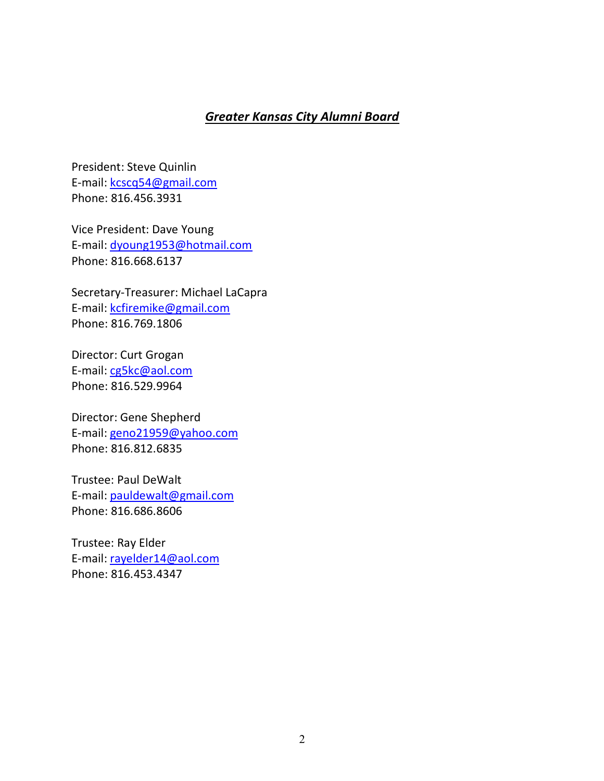## *Greater Kansas City Alumni Board*

President: Steve Quinlin E-mail: kcscq54@gmail.com Phone: 816.456.3931

Vice President: Dave Young E-mail: dyoung1953@hotmail.com Phone: 816.668.6137

Secretary-Treasurer: Michael LaCapra E-mail: kcfiremike@gmail.com Phone: 816.769.1806

Director: Curt Grogan E-mail: cg5kc@aol.com Phone: 816.529.9964

Director: Gene Shepherd E-mail: geno21959@yahoo.com Phone: 816.812.6835

Trustee: Paul DeWalt E-mail: pauldewalt@gmail.com Phone: 816.686.8606

Trustee: Ray Elder E-mail: rayelder14@aol.com Phone: 816.453.4347